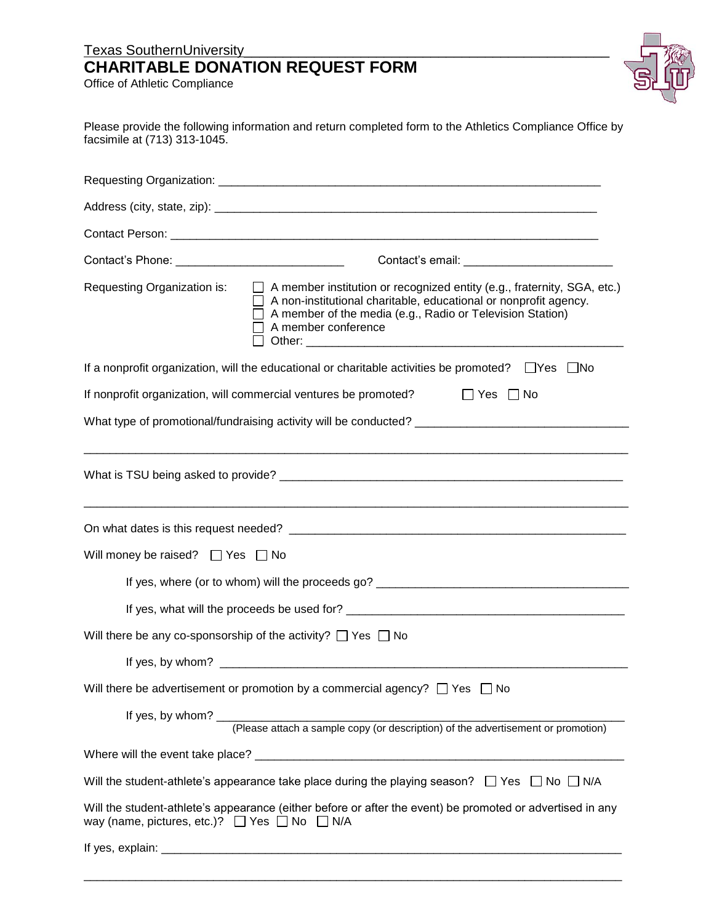## Texas SouthernUniversity\_\_\_\_\_\_\_\_\_\_\_\_\_\_\_\_\_\_\_\_\_\_\_\_\_\_\_\_\_\_\_\_\_\_\_\_\_\_\_\_\_\_\_\_\_\_\_ **CHARITABLE DONATION REQUEST FORM**

Office of Athletic Compliance



| facsimile at (713) 313-1045.                                | Please provide the following information and return completed form to the Athletics Compliance Office by                                                                                                                                                    |
|-------------------------------------------------------------|-------------------------------------------------------------------------------------------------------------------------------------------------------------------------------------------------------------------------------------------------------------|
|                                                             |                                                                                                                                                                                                                                                             |
|                                                             |                                                                                                                                                                                                                                                             |
|                                                             |                                                                                                                                                                                                                                                             |
| Contact's Phone: _______________________________            |                                                                                                                                                                                                                                                             |
| Requesting Organization is:                                 | $\Box$ A member institution or recognized entity (e.g., fraternity, SGA, etc.)<br>$\Box$ A non-institutional charitable, educational or nonprofit agency.<br>$\Box$ A member of the media (e.g., Radio or Television Station)<br>$\Box$ A member conference |
|                                                             | If a nonprofit organization, will the educational or charitable activities be promoted? $\Box$ Yes $\Box$ No                                                                                                                                                |
|                                                             | If nonprofit organization, will commercial ventures be promoted? $\Box$ Yes $\Box$ No                                                                                                                                                                       |
|                                                             | What type of promotional/fundraising activity will be conducted?                                                                                                                                                                                            |
|                                                             |                                                                                                                                                                                                                                                             |
|                                                             |                                                                                                                                                                                                                                                             |
| Will money be raised? $\Box$ Yes $\Box$ No                  |                                                                                                                                                                                                                                                             |
|                                                             |                                                                                                                                                                                                                                                             |
|                                                             | If yes, what will the proceeds be used for?                                                                                                                                                                                                                 |
|                                                             | Will there be any co-sponsorship of the activity? $\Box$ Yes $\Box$ No                                                                                                                                                                                      |
|                                                             |                                                                                                                                                                                                                                                             |
|                                                             | Will there be advertisement or promotion by a commercial agency? $\Box$ Yes $\Box$ No                                                                                                                                                                       |
|                                                             |                                                                                                                                                                                                                                                             |
|                                                             |                                                                                                                                                                                                                                                             |
|                                                             | Will the student-athlete's appearance take place during the playing season? $\Box$ Yes $\Box$ No $\Box$ N/A                                                                                                                                                 |
| way (name, pictures, etc.)? $\Box$ Yes $\Box$ No $\Box$ N/A | Will the student-athlete's appearance (either before or after the event) be promoted or advertised in any                                                                                                                                                   |
|                                                             |                                                                                                                                                                                                                                                             |

\_\_\_\_\_\_\_\_\_\_\_\_\_\_\_\_\_\_\_\_\_\_\_\_\_\_\_\_\_\_\_\_\_\_\_\_\_\_\_\_\_\_\_\_\_\_\_\_\_\_\_\_\_\_\_\_\_\_\_\_\_\_\_\_\_\_\_\_\_\_\_\_\_\_\_\_\_\_\_\_\_\_\_